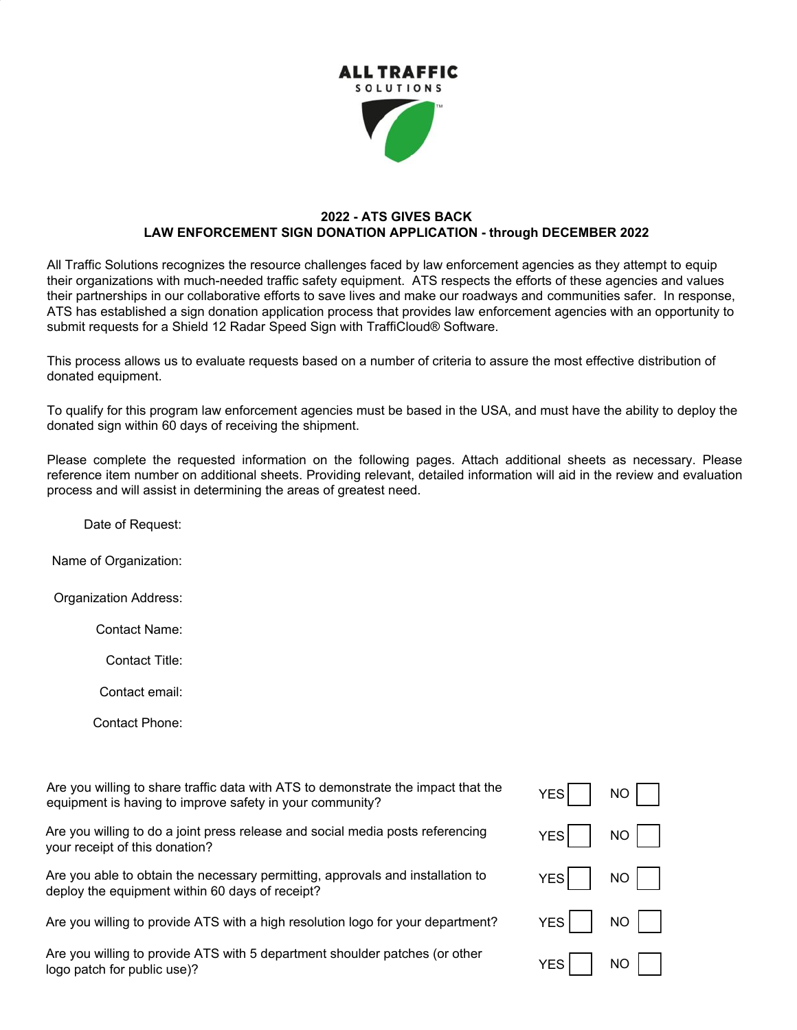

## **2022 - ATS GIVES BACK LAW ENFORCEMENT SIGN DONATION APPLICATION - through DECEMBER 2022**

All Traffic Solutions recognizes the resource challenges faced by law enforcement agencies as they attempt to equip their organizations with much-needed traffic safety equipment. ATS respects the efforts of these agencies and values their partnerships in our collaborative efforts to save lives and make our roadways and communities safer. In response, ATS has established a sign donation application process that provides law enforcement agencies with an opportunity to submit requests for a Shield 12 Radar Speed Sign with TraffiCloud® Software.

This process allows us to evaluate requests based on a number of criteria to assure the most effective distribution of donated equipment.

To qualify for this program law enforcement agencies must be based in the USA, and must have the ability to deploy the donated sign within 60 days of receiving the shipment.

Please complete the requested information on the following pages. Attach additional sheets as necessary. Please reference item number on additional sheets. Providing relevant, detailed information will aid in the review and evaluation process and will assist in determining the areas of greatest need.

Date of Request:

Name of Organization:

Organization Address:

Contact Name:

Contact Title:

Contact email:

Contact Phone:

Are you willing to share traffic data with ATS to demonstrate the impact that the equipment is having to improve safety in your community?

Are you willing to do a joint press release and social media posts referencing your receipt of this donation?

Are you able to obtain the necessary permitting, approvals and installation to deploy the equipment within 60 days of receipt?

Are you willing to provide ATS with a high resolution logo for your department?

Are you willing to provide ATS with 5 department shoulder patches (or other logo patch for public use)?

| $YES$ $\Box$              | $\overline{NO}$ $\boxed{\phantom{1}}$ |
|---------------------------|---------------------------------------|
| YES $\Box$                | $NO$                                  |
| YES                       | $NO$                                  |
| YES $\Box$                | $NO$                                  |
| YES $\boxed{\phantom{a}}$ | $NO$                                  |